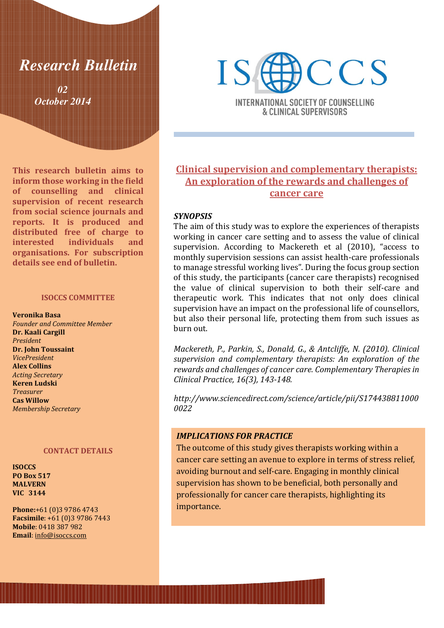# *Research Bulletin*

*02 October 2014* 

This research bulletin aims to inform those working in the field of counselling and clinical supervision of recent research from social science journals and reports. It is produced and distributed free of charge to interested individuals and organisations. For subscription details see end of bulletin.

#### ISOCCS COMMITTEE

Veronika Basa Founder and Committee Member Dr. Kaali Cargill President Dr. John Toussaint VicePresident Alex Collins Acting Secretary Keren Ludski Treasurer Cas Willow Membership Secretary

#### CONTACT DETAILS

ISOCCS PO Box 517 MALVERN VIC 3144

Phone:+61 (0)3 9786 4743 Facsimile: +61 (0)3 9786 7443 Mobile: 0418 387 982 Email: info@isoccs.com



**INTERNATIONAL SOCIETY OF COUNSELLING** & CLINICAL SUPERVISORS

# Clinical supervision and complementary therapists: An exploration of the rewards and challenges of cancer care

### **SYNOPSIS**

The aim of this study was to explore the experiences of therapists working in cancer care setting and to assess the value of clinical supervision. According to Mackereth et al (2010), "access to monthly supervision sessions can assist health-care professionals to manage stressful working lives". During the focus group section of this study, the participants (cancer care therapists) recognised the value of clinical supervision to both their self-care and therapeutic work. This indicates that not only does clinical supervision have an impact on the professional life of counsellors, but also their personal life, protecting them from such issues as burn out.

Mackereth, P., Parkin, S., Donald, G., & Antcliffe, N. (2010). Clinical supervision and complementary therapists: An exploration of the rewards and challenges of cancer care. Complementary Therapies in Clinical Practice, 16(3), 143-148.

http://www.sciencedirect.com/science/article/pii/S174438811000 0022

# IMPLICATIONS FOR PRACTICE

The outcome of this study gives therapists working within a cancer care setting an avenue to explore in terms of stress relief, avoiding burnout and self-care. Engaging in monthly clinical supervision has shown to be beneficial, both personally and professionally for cancer care therapists, highlighting its importance.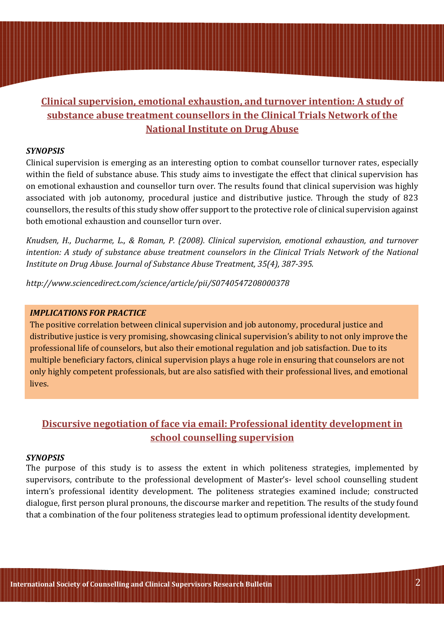# Clinical supervision, emotional exhaustion, and turnover intention: A study of substance abuse treatment counsellors in the Clinical Trials Network of the National Institute on Drug Abuse

# SYNOPSIS

Clinical supervision is emerging as an interesting option to combat counsellor turnover rates, especially within the field of substance abuse. This study aims to investigate the effect that clinical supervision has on emotional exhaustion and counsellor turn over. The results found that clinical supervision was highly associated with job autonomy, procedural justice and distributive justice. Through the study of 823 counsellors, the results of this study show offer support to the protective role of clinical supervision against both emotional exhaustion and counsellor turn over.

Knudsen, H., Ducharme, L., & Roman, P. (2008). Clinical supervision, emotional exhaustion, and turnover intention: A study of substance abuse treatment counselors in the Clinical Trials Network of the National Institute on Drug Abuse. Journal of Substance Abuse Treatment, 35(4), 387-395.

http://www.sciencedirect.com/science/article/pii/S0740547208000378

### IMPLICATIONS FOR PRACTICE

The positive correlation between clinical supervision and job autonomy, procedural justice and distributive justice is very promising, showcasing clinical supervision's ability to not only improve the professional life of counselors, but also their emotional regulation and job satisfaction. Due to its multiple beneficiary factors, clinical supervision plays a huge role in ensuring that counselors are not only highly competent professionals, but are also satisfied with their professional lives, and emotional lives.

# Discursive negotiation of face via email: Professional identity development in school counselling supervision

### **SYNOPSIS**

The purpose of this study is to assess the extent in which politeness strategies, implemented by supervisors, contribute to the professional development of Master's- level school counselling student intern's professional identity development. The politeness strategies examined include; constructed dialogue, first person plural pronouns, the discourse marker and repetition. The results of the study found that a combination of the four politeness strategies lead to optimum professional identity development.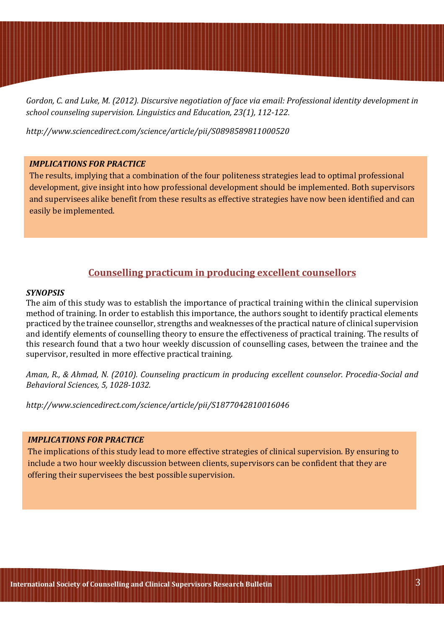Gordon, C. and Luke, M. (2012). Discursive negotiation of face via email: Professional identity development in school counseling supervision. Linguistics and Education, 23(1), 112-122*.*

http://www.sciencedirect.com/science/article/pii/S0898589811000520

# IMPLICATIONS FOR PRACTICE

The results, implying that a combination of the four politeness strategies lead to optimal professional development, give insight into how professional development should be implemented. Both supervisors and supervisees alike benefit from these results as effective strategies have now been identified and can easily be implemented.

# Counselling practicum in producing excellent counsellors

# **SYNOPSIS**

The aim of this study was to establish the importance of practical training within the clinical supervision method of training. In order to establish this importance, the authors sought to identify practical elements practiced by the trainee counsellor, strengths and weaknesses of the practical nature of clinical supervision and identify elements of counselling theory to ensure the effectiveness of practical training. The results of this research found that a two hour weekly discussion of counselling cases, between the trainee and the supervisor, resulted in more effective practical training.

Aman, R., & Ahmad, N. (2010). Counseling practicum in producing excellent counselor. Procedia-Social and Behavioral Sciences, 5, 1028-1032.

http://www.sciencedirect.com/science/article/pii/S1877042810016046

# IMPLICATIONS FOR PRACTICE

The implications of this study lead to more effective strategies of clinical supervision. By ensuring to include a two hour weekly discussion between clients, supervisors can be confident that they are offering their supervisees the best possible supervision.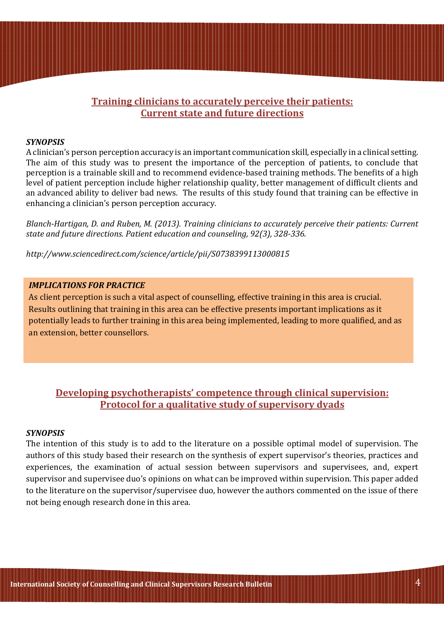# Training clinicians to accurately perceive their patients: Current state and future directions

### SYNOPSIS

A clinician's person perception accuracy is an important communication skill, especially in a clinical setting. The aim of this study was to present the importance of the perception of patients, to conclude that perception is a trainable skill and to recommend evidence-based training methods. The benefits of a high level of patient perception include higher relationship quality, better management of difficult clients and an advanced ability to deliver bad news. The results of this study found that training can be effective in enhancing a clinician's person perception accuracy.

Blanch-Hartigan, D. and Ruben, M. (2013). Training clinicians to accurately perceive their patients: Current state and future directions. Patient education and counseling, 92(3), 328-336.

http://www.sciencedirect.com/science/article/pii/S0738399113000815

# IMPLICATIONS FOR PRACTICE

As client perception is such a vital aspect of counselling, effective training in this area is crucial. Results outlining that training in this area can be effective presents important implications as it potentially leads to further training in this area being implemented, leading to more qualified, and as an extension, better counsellors.

# Developing psychotherapists' competence through clinical supervision: Protocol for a qualitative study of supervisory dyads

#### **SYNOPSIS**

The intention of this study is to add to the literature on a possible optimal model of supervision. The authors of this study based their research on the synthesis of expert supervisor's theories, practices and experiences, the examination of actual session between supervisors and supervisees, and, expert supervisor and supervisee duo's opinions on what can be improved within supervision. This paper added to the literature on the supervisor/supervisee duo, however the authors commented on the issue of there not being enough research done in this area.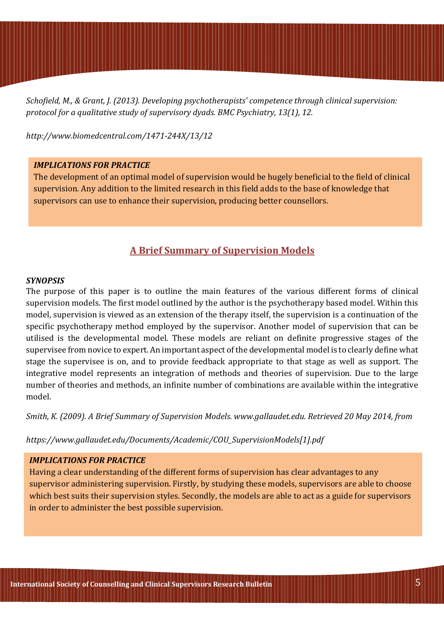Schofield, M., & Grant, J. (2013). Developing psychotherapists' competence through clinical supervision: protocol for a qualitative study of supervisory dyads. BMC Psychiatry, 13(1), 12.

http://www.biomedcentral.com/1471-244X/13/12

### IMPLICATIONS FOR PRACTICE

The development of an optimal model of supervision would be hugely beneficial to the field of clinical supervision. Any addition to the limited research in this field adds to the base of knowledge that supervisors can use to enhance their supervision, producing better counsellors.

# A Brief Summary of Supervision Models

#### **SYNOPSIS**

The purpose of this paper is to outline the main features of the various different forms of clinical supervision models. The first model outlined by the author is the psychotherapy based model. Within this model, supervision is viewed as an extension of the therapy itself, the supervision is a continuation of the specific psychotherapy method employed by the supervisor. Another model of supervision that can be utilised is the developmental model. These models are reliant on definite progressive stages of the supervisee from novice to expert. An important aspect of the developmental model is to clearly define what stage the supervisee is on, and to provide feedback appropriate to that stage as well as support. The integrative model represents an integration of methods and theories of supervision. Due to the large number of theories and methods, an infinite number of combinations are available within the integrative model.

Smith, K. (2009). A Brief Summary of Supervision Models. www.gallaudet.edu. Retrieved 20 May 2014, from

https://www.gallaudet.edu/Documents/Academic/COU\_SupervisionModels[1].pdf

# IMPLICATIONS FOR PRACTICE

Having a clear understanding of the different forms of supervision has clear advantages to any supervisor administering supervision. Firstly, by studying these models, supervisors are able to choose which best suits their supervision styles. Secondly, the models are able to act as a guide for supervisors in order to administer the best possible supervision.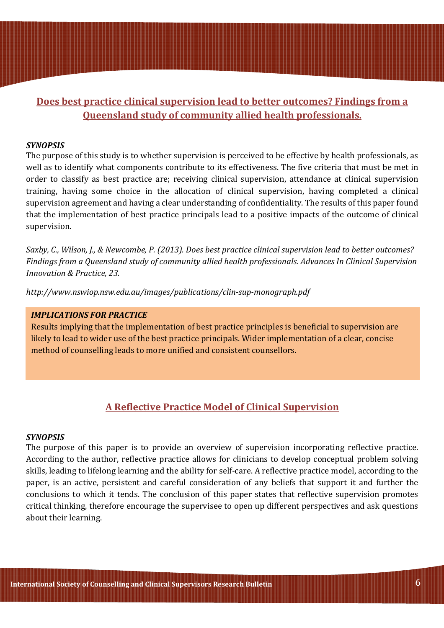# Does best practice clinical supervision lead to better outcomes? Findings from a Queensland study of community allied health professionals.

# **SYNOPSIS**

The purpose of this study is to whether supervision is perceived to be effective by health professionals, as well as to identify what components contribute to its effectiveness. The five criteria that must be met in order to classify as best practice are; receiving clinical supervision, attendance at clinical supervision training, having some choice in the allocation of clinical supervision, having completed a clinical supervision agreement and having a clear understanding of confidentiality. The results of this paper found that the implementation of best practice principals lead to a positive impacts of the outcome of clinical supervision.

Saxby, C., Wilson, J., & Newcombe, P. (2013). Does best practice clinical supervision lead to better outcomes? Findings from a Queensland study of community allied health professionals. Advances In Clinical Supervision Innovation & Practice, 23.

http://www.nswiop.nsw.edu.au/images/publications/clin-sup-monograph.pdf

### IMPLICATIONS FOR PRACTICE

Results implying that the implementation of best practice principles is beneficial to supervision are likely to lead to wider use of the best practice principals. Wider implementation of a clear, concise method of counselling leads to more unified and consistent counsellors.

# A Reflective Practice Model of Clinical Supervision

#### SYNOPSIS

The purpose of this paper is to provide an overview of supervision incorporating reflective practice. According to the author, reflective practice allows for clinicians to develop conceptual problem solving skills, leading to lifelong learning and the ability for self-care. A reflective practice model, according to the paper, is an active, persistent and careful consideration of any beliefs that support it and further the conclusions to which it tends. The conclusion of this paper states that reflective supervision promotes critical thinking, therefore encourage the supervisee to open up different perspectives and ask questions about their learning.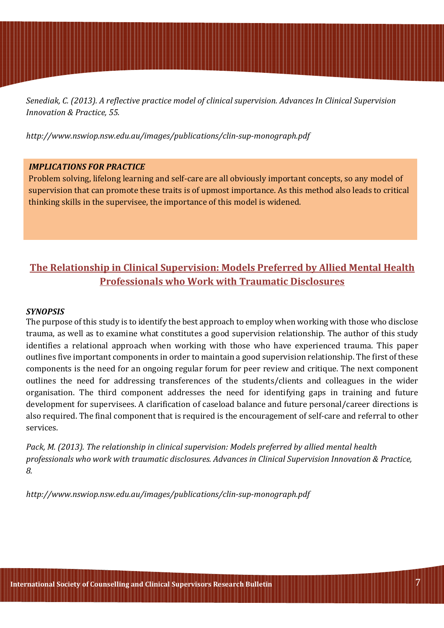Senediak, C. (2013). A reflective practice model of clinical supervision. Advances In Clinical Supervision Innovation & Practice, 55.

http://www.nswiop.nsw.edu.au/images/publications/clin-sup-monograph.pdf

# IMPLICATIONS FOR PRACTICE

Problem solving, lifelong learning and self-care are all obviously important concepts, so any model of supervision that can promote these traits is of upmost importance. As this method also leads to critical thinking skills in the supervisee, the importance of this model is widened.

# The Relationship in Clinical Supervision: Models Preferred by Allied Mental Health Professionals who Work with Traumatic Disclosures

### **SYNOPSIS**

The purpose of this study is to identify the best approach to employ when working with those who disclose trauma, as well as to examine what constitutes a good supervision relationship. The author of this study identifies a relational approach when working with those who have experienced trauma. This paper outlines five important components in order to maintain a good supervision relationship. The first of these components is the need for an ongoing regular forum for peer review and critique. The next component outlines the need for addressing transferences of the students/clients and colleagues in the wider organisation. The third component addresses the need for identifying gaps in training and future development for supervisees. A clarification of caseload balance and future personal/career directions is also required. The final component that is required is the encouragement of self-care and referral to other services.

Pack, M. (2013). The relationship in clinical supervision: Models preferred by allied mental health professionals who work with traumatic disclosures. Advances in Clinical Supervision Innovation & Practice, 8.

http://www.nswiop.nsw.edu.au/images/publications/clin-sup-monograph.pdf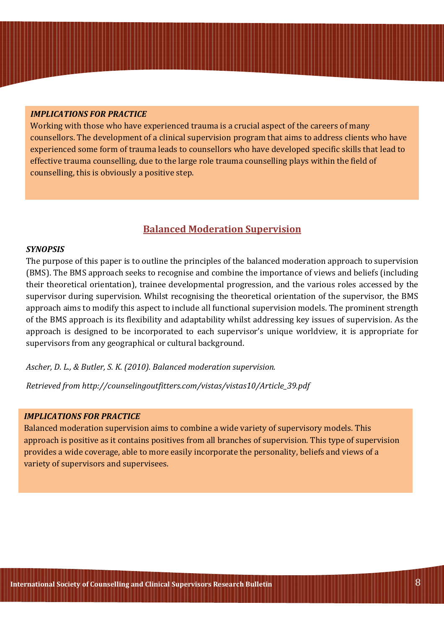### IMPLICATIONS FOR PRACTICE

Working with those who have experienced trauma is a crucial aspect of the careers of many counsellors. The development of a clinical supervision program that aims to address clients who have experienced some form of trauma leads to counsellors who have developed specific skills that lead to effective trauma counselling, due to the large role trauma counselling plays within the field of counselling, this is obviously a positive step.

# Balanced Moderation Supervision

### SYNOPSIS

The purpose of this paper is to outline the principles of the balanced moderation approach to supervision (BMS). The BMS approach seeks to recognise and combine the importance of views and beliefs (including their theoretical orientation), trainee developmental progression, and the various roles accessed by the supervisor during supervision. Whilst recognising the theoretical orientation of the supervisor, the BMS approach aims to modify this aspect to include all functional supervision models. The prominent strength of the BMS approach is its flexibility and adaptability whilst addressing key issues of supervision. As the approach is designed to be incorporated to each supervisor's unique worldview, it is appropriate for supervisors from any geographical or cultural background.

Ascher, D. L., & Butler, S. K. (2010). Balanced moderation supervision.

Retrieved from http://counselingoutfitters.com/vistas/vistas10/Article\_39.pdf

# IMPLICATIONS FOR PRACTICE

Balanced moderation supervision aims to combine a wide variety of supervisory models. This approach is positive as it contains positives from all branches of supervision. This type of supervision provides a wide coverage, able to more easily incorporate the personality, beliefs and views of a variety of supervisors and supervisees.